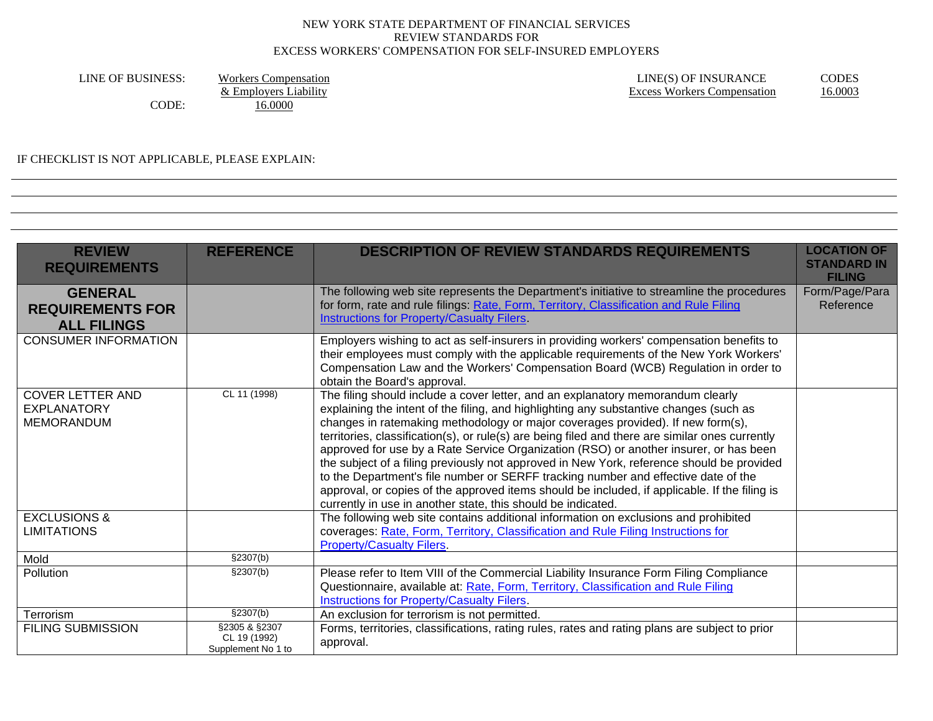LINE OF BUSINESS: Workers Compensation<br>  $\&$  Employers Liability<br>  $\&$  Employers Liability<br>  $\&$  Employers Liability CODE: 16.0000

IF CHECKLIST IS NOT APPLICABLE, PLEASE EXPLAIN:

| <b>REVIEW</b><br><b>REQUIREMENTS</b>                               | <b>REFERENCE</b>                                              | <b>DESCRIPTION OF REVIEW STANDARDS REQUIREMENTS</b>                                                                                                                                                                                                                                                                                                                                                                                                                                                                                                                                                                                                                                                                                                                                                          | <b>LOCATION OF</b><br><b>STANDARD IN</b><br><b>FILING</b> |
|--------------------------------------------------------------------|---------------------------------------------------------------|--------------------------------------------------------------------------------------------------------------------------------------------------------------------------------------------------------------------------------------------------------------------------------------------------------------------------------------------------------------------------------------------------------------------------------------------------------------------------------------------------------------------------------------------------------------------------------------------------------------------------------------------------------------------------------------------------------------------------------------------------------------------------------------------------------------|-----------------------------------------------------------|
| <b>GENERAL</b><br><b>REQUIREMENTS FOR</b><br><b>ALL FILINGS</b>    |                                                               | The following web site represents the Department's initiative to streamline the procedures<br>for form, rate and rule filings: Rate, Form, Territory, Classification and Rule Filing<br>Instructions for Property/Casualty Filers                                                                                                                                                                                                                                                                                                                                                                                                                                                                                                                                                                            | Form/Page/Para<br>Reference                               |
| <b>CONSUMER INFORMATION</b>                                        |                                                               | Employers wishing to act as self-insurers in providing workers' compensation benefits to<br>their employees must comply with the applicable requirements of the New York Workers'<br>Compensation Law and the Workers' Compensation Board (WCB) Regulation in order to<br>obtain the Board's approval.                                                                                                                                                                                                                                                                                                                                                                                                                                                                                                       |                                                           |
| <b>COVER LETTER AND</b><br><b>EXPLANATORY</b><br><b>MEMORANDUM</b> | CL 11 (1998)                                                  | The filing should include a cover letter, and an explanatory memorandum clearly<br>explaining the intent of the filing, and highlighting any substantive changes (such as<br>changes in ratemaking methodology or major coverages provided). If new form(s),<br>territories, classification(s), or rule(s) are being filed and there are similar ones currently<br>approved for use by a Rate Service Organization (RSO) or another insurer, or has been<br>the subject of a filing previously not approved in New York, reference should be provided<br>to the Department's file number or SERFF tracking number and effective date of the<br>approval, or copies of the approved items should be included, if applicable. If the filing is<br>currently in use in another state, this should be indicated. |                                                           |
| <b>EXCLUSIONS &amp;</b><br><b>LIMITATIONS</b>                      |                                                               | The following web site contains additional information on exclusions and prohibited<br>coverages: Rate, Form, Territory, Classification and Rule Filing Instructions for<br><b>Property/Casualty Filers.</b>                                                                                                                                                                                                                                                                                                                                                                                                                                                                                                                                                                                                 |                                                           |
| Mold                                                               | \$2307(b)                                                     |                                                                                                                                                                                                                                                                                                                                                                                                                                                                                                                                                                                                                                                                                                                                                                                                              |                                                           |
| Pollution                                                          | \$2307(b)                                                     | Please refer to Item VIII of the Commercial Liability Insurance Form Filing Compliance<br>Questionnaire, available at: Rate, Form, Territory, Classification and Rule Filing<br>Instructions for Property/Casualty Filers.                                                                                                                                                                                                                                                                                                                                                                                                                                                                                                                                                                                   |                                                           |
| Terrorism                                                          | \$2307(b)                                                     | An exclusion for terrorism is not permitted.                                                                                                                                                                                                                                                                                                                                                                                                                                                                                                                                                                                                                                                                                                                                                                 |                                                           |
| <b>FILING SUBMISSION</b>                                           | $\sqrt{$2305 \& $2307}$<br>CL 19 (1992)<br>Supplement No 1 to | Forms, territories, classifications, rating rules, rates and rating plans are subject to prior<br>approval.                                                                                                                                                                                                                                                                                                                                                                                                                                                                                                                                                                                                                                                                                                  |                                                           |

Excess Workers Compensation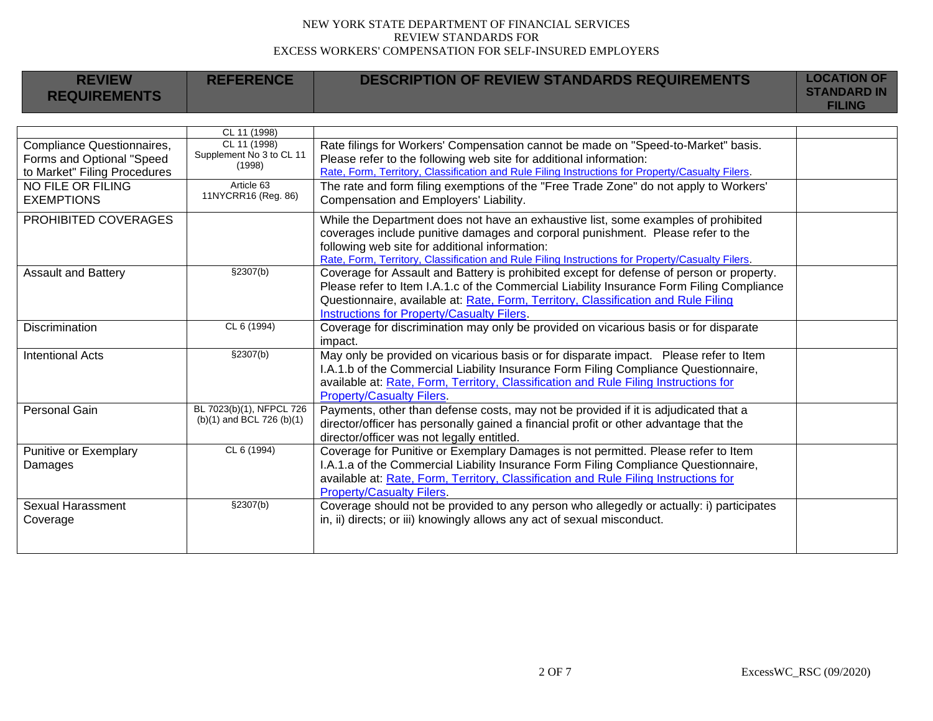| <b>REVIEW</b><br><b>REQUIREMENTS</b> | <b>REFERENCE</b>                         | <b>DESCRIPTION OF REVIEW STANDARDS REQUIREMENTS</b>                                              | <b>LOCATION OF</b><br><b>STANDARD IN</b> |
|--------------------------------------|------------------------------------------|--------------------------------------------------------------------------------------------------|------------------------------------------|
|                                      |                                          |                                                                                                  | <b>FILING</b>                            |
|                                      |                                          |                                                                                                  |                                          |
|                                      | CL 11 (1998)                             |                                                                                                  |                                          |
| Compliance Questionnaires,           | CL 11 (1998)<br>Supplement No 3 to CL 11 | Rate filings for Workers' Compensation cannot be made on "Speed-to-Market" basis.                |                                          |
| Forms and Optional "Speed            | (1998)                                   | Please refer to the following web site for additional information:                               |                                          |
| to Market" Filing Procedures         |                                          | Rate, Form, Territory, Classification and Rule Filing Instructions for Property/Casualty Filers. |                                          |
| NO FILE OR FILING                    | Article 63<br>11NYCRR16 (Reg. 86)        | The rate and form filing exemptions of the "Free Trade Zone" do not apply to Workers'            |                                          |
| <b>EXEMPTIONS</b>                    |                                          | Compensation and Employers' Liability.                                                           |                                          |
| PROHIBITED COVERAGES                 |                                          | While the Department does not have an exhaustive list, some examples of prohibited               |                                          |
|                                      |                                          | coverages include punitive damages and corporal punishment. Please refer to the                  |                                          |
|                                      |                                          | following web site for additional information:                                                   |                                          |
|                                      |                                          | Rate, Form, Territory, Classification and Rule Filing Instructions for Property/Casualty Filers. |                                          |
| <b>Assault and Battery</b>           | §2307(b)                                 | Coverage for Assault and Battery is prohibited except for defense of person or property.         |                                          |
|                                      |                                          | Please refer to Item I.A.1.c of the Commercial Liability Insurance Form Filing Compliance        |                                          |
|                                      |                                          | Questionnaire, available at: Rate, Form, Territory, Classification and Rule Filing               |                                          |
|                                      |                                          | Instructions for Property/Casualty Filers.                                                       |                                          |
| <b>Discrimination</b>                | CL 6 (1994)                              | Coverage for discrimination may only be provided on vicarious basis or for disparate             |                                          |
|                                      |                                          | impact.                                                                                          |                                          |
| <b>Intentional Acts</b>              | \$2307(b)                                | May only be provided on vicarious basis or for disparate impact. Please refer to Item            |                                          |
|                                      |                                          | I.A.1.b of the Commercial Liability Insurance Form Filing Compliance Questionnaire,              |                                          |
|                                      |                                          | available at: Rate, Form, Territory, Classification and Rule Filing Instructions for             |                                          |
|                                      |                                          | <b>Property/Casualty Filers.</b>                                                                 |                                          |
| Personal Gain                        | BL 7023(b)(1), NFPCL 726                 | Payments, other than defense costs, may not be provided if it is adjudicated that a              |                                          |
|                                      | $(b)(1)$ and BCL 726 $(b)(1)$            | director/officer has personally gained a financial profit or other advantage that the            |                                          |
|                                      |                                          | director/officer was not legally entitled.                                                       |                                          |
| Punitive or Exemplary                | CL 6 (1994)                              | Coverage for Punitive or Exemplary Damages is not permitted. Please refer to Item                |                                          |
| Damages                              |                                          | I.A.1.a of the Commercial Liability Insurance Form Filing Compliance Questionnaire,              |                                          |
|                                      |                                          | available at: Rate, Form, Territory, Classification and Rule Filing Instructions for             |                                          |
|                                      |                                          | <b>Property/Casualty Filers.</b>                                                                 |                                          |
| <b>Sexual Harassment</b>             | §2307(b)                                 | Coverage should not be provided to any person who allegedly or actually: i) participates         |                                          |
| Coverage                             |                                          | in, ii) directs; or iii) knowingly allows any act of sexual misconduct.                          |                                          |
|                                      |                                          |                                                                                                  |                                          |
|                                      |                                          |                                                                                                  |                                          |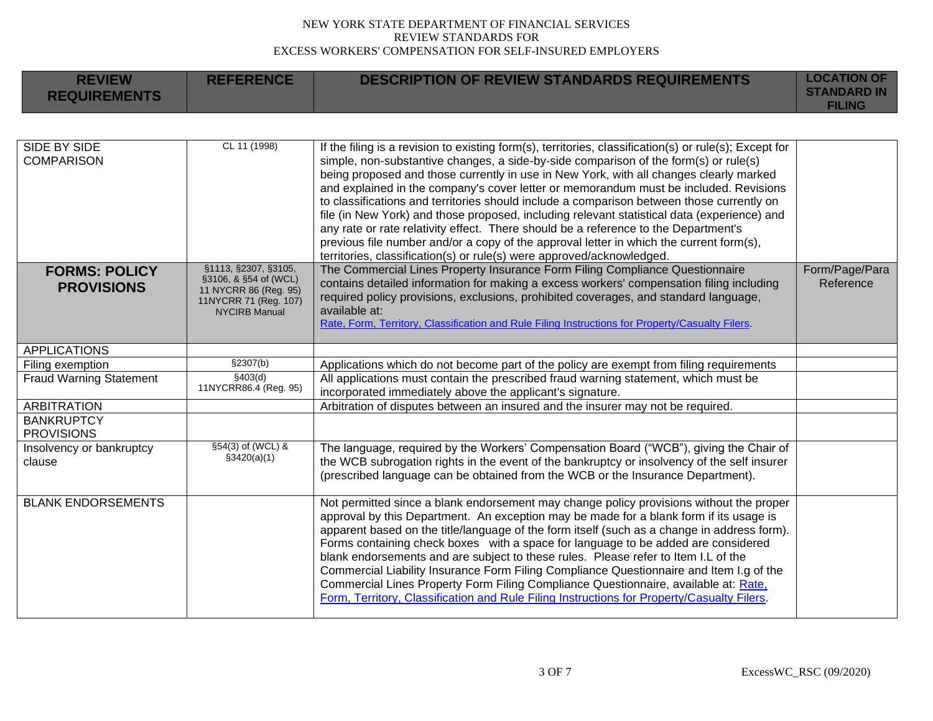**REFERENCE DESCRIPTION OF REVIEW STANDARDS REQUIREMENTS LOCATION OF** 

**REVIEW** 

| <b>REQUIREMENTS</b>                     |                                                |                                                                                                                                                                                    | <b>STANDARD IN</b><br><b>FILING</b> |
|-----------------------------------------|------------------------------------------------|------------------------------------------------------------------------------------------------------------------------------------------------------------------------------------|-------------------------------------|
|                                         |                                                |                                                                                                                                                                                    |                                     |
| <b>SIDE BY SIDE</b>                     | CL 11 (1998)                                   | If the filing is a revision to existing form(s), territories, classification(s) or rule(s); Except for                                                                             |                                     |
| <b>COMPARISON</b>                       |                                                | simple, non-substantive changes, a side-by-side comparison of the form(s) or rule(s)                                                                                               |                                     |
|                                         |                                                | being proposed and those currently in use in New York, with all changes clearly marked                                                                                             |                                     |
|                                         |                                                | and explained in the company's cover letter or memorandum must be included. Revisions<br>to classifications and territories should include a comparison between those currently on |                                     |
|                                         |                                                | file (in New York) and those proposed, including relevant statistical data (experience) and                                                                                        |                                     |
|                                         |                                                | any rate or rate relativity effect. There should be a reference to the Department's                                                                                                |                                     |
|                                         |                                                | previous file number and/or a copy of the approval letter in which the current form(s),                                                                                            |                                     |
|                                         |                                                | territories, classification(s) or rule(s) were approved/acknowledged.                                                                                                              |                                     |
| <b>FORMS: POLICY</b>                    | §1113, §2307, §3105,                           | The Commercial Lines Property Insurance Form Filing Compliance Questionnaire                                                                                                       | Form/Page/Para                      |
| <b>PROVISIONS</b>                       | §3106, & §54 of (WCL)<br>11 NYCRR 86 (Reg. 95) | contains detailed information for making a excess workers' compensation filing including                                                                                           | Reference                           |
|                                         | 11NYCRR 71 (Reg. 107)                          | required policy provisions, exclusions, prohibited coverages, and standard language,                                                                                               |                                     |
|                                         | <b>NYCIRB Manual</b>                           | available at:<br>Rate, Form, Territory, Classification and Rule Filing Instructions for Property/Casualty Filers.                                                                  |                                     |
|                                         |                                                |                                                                                                                                                                                    |                                     |
| <b>APPLICATIONS</b>                     |                                                |                                                                                                                                                                                    |                                     |
| Filing exemption                        | \$2307(b)                                      | Applications which do not become part of the policy are exempt from filing requirements                                                                                            |                                     |
| <b>Fraud Warning Statement</b>          | \$403(d)<br>11NYCRR86.4 (Reg. 95)              | All applications must contain the prescribed fraud warning statement, which must be                                                                                                |                                     |
|                                         |                                                | incorporated immediately above the applicant's signature.                                                                                                                          |                                     |
| <b>ARBITRATION</b><br><b>BANKRUPTCY</b> |                                                | Arbitration of disputes between an insured and the insurer may not be required.                                                                                                    |                                     |
| <b>PROVISIONS</b>                       |                                                |                                                                                                                                                                                    |                                     |
| Insolvency or bankruptcy                | §54(3) of (WCL) &                              | The language, required by the Workers' Compensation Board ("WCB"), giving the Chair of                                                                                             |                                     |
| clause                                  | \$3420(a)(1)                                   | the WCB subrogation rights in the event of the bankruptcy or insolvency of the self insurer                                                                                        |                                     |
|                                         |                                                | (prescribed language can be obtained from the WCB or the Insurance Department).                                                                                                    |                                     |
|                                         |                                                |                                                                                                                                                                                    |                                     |
| <b>BLANK ENDORSEMENTS</b>               |                                                | Not permitted since a blank endorsement may change policy provisions without the proper                                                                                            |                                     |
|                                         |                                                | approval by this Department. An exception may be made for a blank form if its usage is                                                                                             |                                     |
|                                         |                                                | apparent based on the title/language of the form itself (such as a change in address form).                                                                                        |                                     |
|                                         |                                                | Forms containing check boxes with a space for language to be added are considered                                                                                                  |                                     |
|                                         |                                                | blank endorsements and are subject to these rules. Please refer to Item I.L of the<br>Commercial Liability Insurance Form Filing Compliance Questionnaire and Item I.g of the      |                                     |
|                                         |                                                | Commercial Lines Property Form Filing Compliance Questionnaire, available at: Rate,                                                                                                |                                     |
|                                         |                                                | Form, Territory, Classification and Rule Filing Instructions for Property/Casualty Filers.                                                                                         |                                     |
|                                         |                                                |                                                                                                                                                                                    |                                     |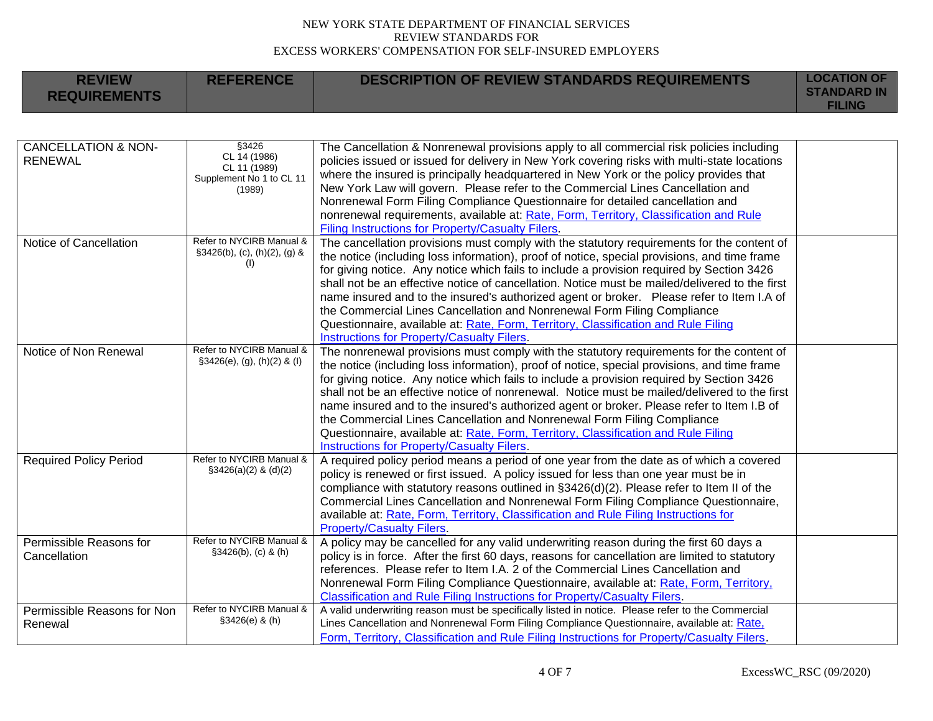| <b>REVIEW</b><br><b>REQUIREMENTS</b>             | <b>REFERENCE</b>                                                            | <b>DESCRIPTION OF REVIEW STANDARDS REQUIREMENTS</b>                                                                                                                                                                                                                                                                                                                                                                                                                                                                                                                                                                                                                                                   | <b>LOCATION OF</b><br><b>STANDARD IN</b><br><b>FILING</b> |
|--------------------------------------------------|-----------------------------------------------------------------------------|-------------------------------------------------------------------------------------------------------------------------------------------------------------------------------------------------------------------------------------------------------------------------------------------------------------------------------------------------------------------------------------------------------------------------------------------------------------------------------------------------------------------------------------------------------------------------------------------------------------------------------------------------------------------------------------------------------|-----------------------------------------------------------|
|                                                  |                                                                             |                                                                                                                                                                                                                                                                                                                                                                                                                                                                                                                                                                                                                                                                                                       |                                                           |
| <b>CANCELLATION &amp; NON-</b><br><b>RENEWAL</b> | §3426<br>CL 14 (1986)<br>CL 11 (1989)<br>Supplement No 1 to CL 11<br>(1989) | The Cancellation & Nonrenewal provisions apply to all commercial risk policies including<br>policies issued or issued for delivery in New York covering risks with multi-state locations<br>where the insured is principally headquartered in New York or the policy provides that<br>New York Law will govern. Please refer to the Commercial Lines Cancellation and<br>Nonrenewal Form Filing Compliance Questionnaire for detailed cancellation and<br>nonrenewal requirements, available at: Rate, Form, Territory, Classification and Rule<br><b>Filing Instructions for Property/Casualty Filers.</b>                                                                                           |                                                           |
| Notice of Cancellation                           | Refer to NYCIRB Manual &<br>$§3426(b), (c), (h)(2), (g)$ &<br>(I)           | The cancellation provisions must comply with the statutory requirements for the content of<br>the notice (including loss information), proof of notice, special provisions, and time frame<br>for giving notice. Any notice which fails to include a provision required by Section 3426<br>shall not be an effective notice of cancellation. Notice must be mailed/delivered to the first<br>name insured and to the insured's authorized agent or broker. Please refer to Item I.A of<br>the Commercial Lines Cancellation and Nonrenewal Form Filing Compliance<br>Questionnaire, available at: Rate, Form, Territory, Classification and Rule Filing<br>Instructions for Property/Casualty Filers. |                                                           |
| Notice of Non Renewal                            | Refer to NYCIRB Manual &<br>$§3426(e), (g), (h)(2)$ & (I)                   | The nonrenewal provisions must comply with the statutory requirements for the content of<br>the notice (including loss information), proof of notice, special provisions, and time frame<br>for giving notice. Any notice which fails to include a provision required by Section 3426<br>shall not be an effective notice of nonrenewal. Notice must be mailed/delivered to the first<br>name insured and to the insured's authorized agent or broker. Please refer to Item I.B of<br>the Commercial Lines Cancellation and Nonrenewal Form Filing Compliance<br>Questionnaire, available at: Rate, Form, Territory, Classification and Rule Filing<br>Instructions for Property/Casualty Filers.     |                                                           |
| <b>Required Policy Period</b>                    | Refer to NYCIRB Manual &<br>$$3426(a)(2)$ & (d)(2)                          | A required policy period means a period of one year from the date as of which a covered<br>policy is renewed or first issued. A policy issued for less than one year must be in<br>compliance with statutory reasons outlined in §3426(d)(2). Please refer to Item II of the<br>Commercial Lines Cancellation and Nonrenewal Form Filing Compliance Questionnaire,<br>available at: Rate, Form, Territory, Classification and Rule Filing Instructions for<br><b>Property/Casualty Filers.</b>                                                                                                                                                                                                        |                                                           |
| Permissible Reasons for<br>Cancellation          | Refer to NYCIRB Manual &<br>§3426(b), (c) & (h)                             | A policy may be cancelled for any valid underwriting reason during the first 60 days a<br>policy is in force. After the first 60 days, reasons for cancellation are limited to statutory<br>references. Please refer to Item I.A. 2 of the Commercial Lines Cancellation and<br>Nonrenewal Form Filing Compliance Questionnaire, available at: Rate, Form, Territory,<br>Classification and Rule Filing Instructions for Property/Casualty Filers.                                                                                                                                                                                                                                                    |                                                           |
| Permissible Reasons for Non<br>Renewal           | Refer to NYCIRB Manual &<br>§3426(e) & (h)                                  | A valid underwriting reason must be specifically listed in notice. Please refer to the Commercial<br>Lines Cancellation and Nonrenewal Form Filing Compliance Questionnaire, available at: Rate,<br>Form, Territory, Classification and Rule Filing Instructions for Property/Casualty Filers.                                                                                                                                                                                                                                                                                                                                                                                                        |                                                           |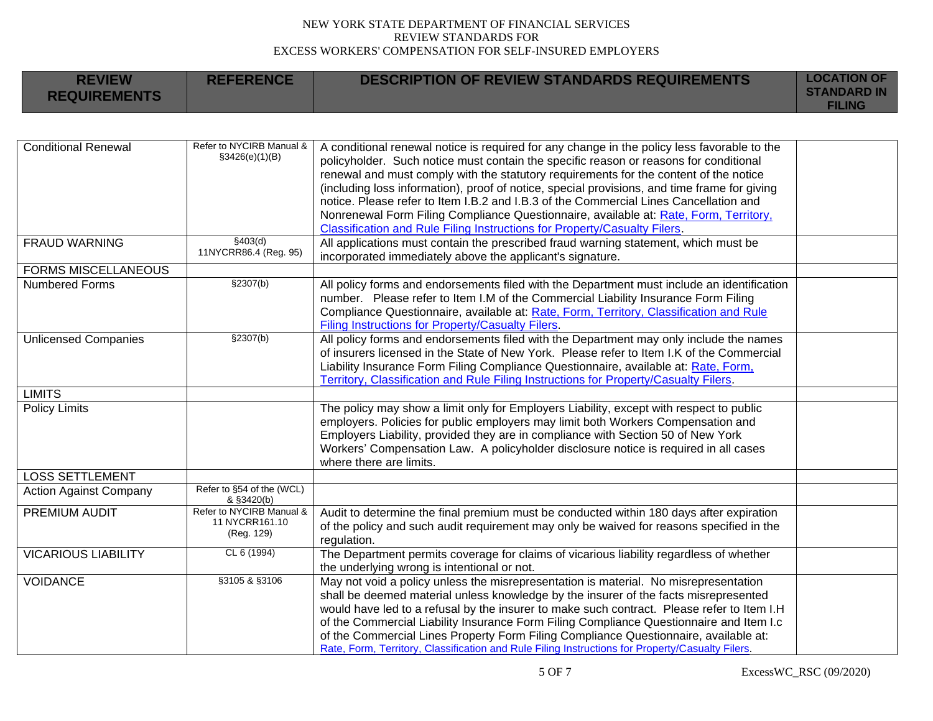**REFERENCE DESCRIPTION OF REVIEW STANDARDS REQUIREMENTS LOCATION OF** 

**REVIEW** 

п

| <b>KEVIEW</b><br><b>REQUIREMENTS</b> | REFERENCE                                                | DESCRIPTION OF REVIEW STANDARDS REQUIREMENTS                                                                                                                                                                                                                                                                                                                                                                                                                                                                                                                                                                                                 | LUUATIUN UF<br><b>STANDARD IN</b><br><b>FILING</b> |
|--------------------------------------|----------------------------------------------------------|----------------------------------------------------------------------------------------------------------------------------------------------------------------------------------------------------------------------------------------------------------------------------------------------------------------------------------------------------------------------------------------------------------------------------------------------------------------------------------------------------------------------------------------------------------------------------------------------------------------------------------------------|----------------------------------------------------|
|                                      |                                                          |                                                                                                                                                                                                                                                                                                                                                                                                                                                                                                                                                                                                                                              |                                                    |
| <b>Conditional Renewal</b>           | Refer to NYCIRB Manual &<br>\$3426(e)(1)(B)              | A conditional renewal notice is required for any change in the policy less favorable to the<br>policyholder. Such notice must contain the specific reason or reasons for conditional<br>renewal and must comply with the statutory requirements for the content of the notice<br>(including loss information), proof of notice, special provisions, and time frame for giving<br>notice. Please refer to Item I.B.2 and I.B.3 of the Commercial Lines Cancellation and<br>Nonrenewal Form Filing Compliance Questionnaire, available at: Rate, Form, Territory,<br>Classification and Rule Filing Instructions for Property/Casualty Filers. |                                                    |
| <b>FRAUD WARNING</b>                 | \$403(d)<br>11NYCRR86.4 (Reg. 95)                        | All applications must contain the prescribed fraud warning statement, which must be<br>incorporated immediately above the applicant's signature.                                                                                                                                                                                                                                                                                                                                                                                                                                                                                             |                                                    |
| <b>FORMS MISCELLANEOUS</b>           |                                                          |                                                                                                                                                                                                                                                                                                                                                                                                                                                                                                                                                                                                                                              |                                                    |
| <b>Numbered Forms</b>                | \$2307(b)                                                | All policy forms and endorsements filed with the Department must include an identification<br>number. Please refer to Item I.M of the Commercial Liability Insurance Form Filing<br>Compliance Questionnaire, available at: Rate, Form, Territory, Classification and Rule<br>Filing Instructions for Property/Casualty Filers.                                                                                                                                                                                                                                                                                                              |                                                    |
| <b>Unlicensed Companies</b>          | \$2307(b)                                                | All policy forms and endorsements filed with the Department may only include the names<br>of insurers licensed in the State of New York. Please refer to Item I.K of the Commercial<br>Liability Insurance Form Filing Compliance Questionnaire, available at: Rate, Form,<br>Territory, Classification and Rule Filing Instructions for Property/Casualty Filers.                                                                                                                                                                                                                                                                           |                                                    |
| <b>LIMITS</b>                        |                                                          |                                                                                                                                                                                                                                                                                                                                                                                                                                                                                                                                                                                                                                              |                                                    |
| <b>Policy Limits</b>                 |                                                          | The policy may show a limit only for Employers Liability, except with respect to public<br>employers. Policies for public employers may limit both Workers Compensation and<br>Employers Liability, provided they are in compliance with Section 50 of New York<br>Workers' Compensation Law. A policyholder disclosure notice is required in all cases<br>where there are limits.                                                                                                                                                                                                                                                           |                                                    |
| <b>LOSS SETTLEMENT</b>               |                                                          |                                                                                                                                                                                                                                                                                                                                                                                                                                                                                                                                                                                                                                              |                                                    |
| <b>Action Against Company</b>        | Refer to §54 of the (WCL)<br>& §3420(b)                  |                                                                                                                                                                                                                                                                                                                                                                                                                                                                                                                                                                                                                                              |                                                    |
| <b>PREMIUM AUDIT</b>                 | Refer to NYCIRB Manual &<br>11 NYCRR161.10<br>(Reg. 129) | Audit to determine the final premium must be conducted within 180 days after expiration<br>of the policy and such audit requirement may only be waived for reasons specified in the<br>regulation.                                                                                                                                                                                                                                                                                                                                                                                                                                           |                                                    |
| <b>VICARIOUS LIABILITY</b>           | CL 6 (1994)                                              | The Department permits coverage for claims of vicarious liability regardless of whether<br>the underlying wrong is intentional or not.                                                                                                                                                                                                                                                                                                                                                                                                                                                                                                       |                                                    |
| <b>VOIDANCE</b>                      | §3105 & §3106                                            | May not void a policy unless the misrepresentation is material. No misrepresentation<br>shall be deemed material unless knowledge by the insurer of the facts misrepresented<br>would have led to a refusal by the insurer to make such contract. Please refer to Item I.H<br>of the Commercial Liability Insurance Form Filing Compliance Questionnaire and Item I.c<br>of the Commercial Lines Property Form Filing Compliance Questionnaire, available at:<br>Rate, Form, Territory, Classification and Rule Filing Instructions for Property/Casualty Filers.                                                                            |                                                    |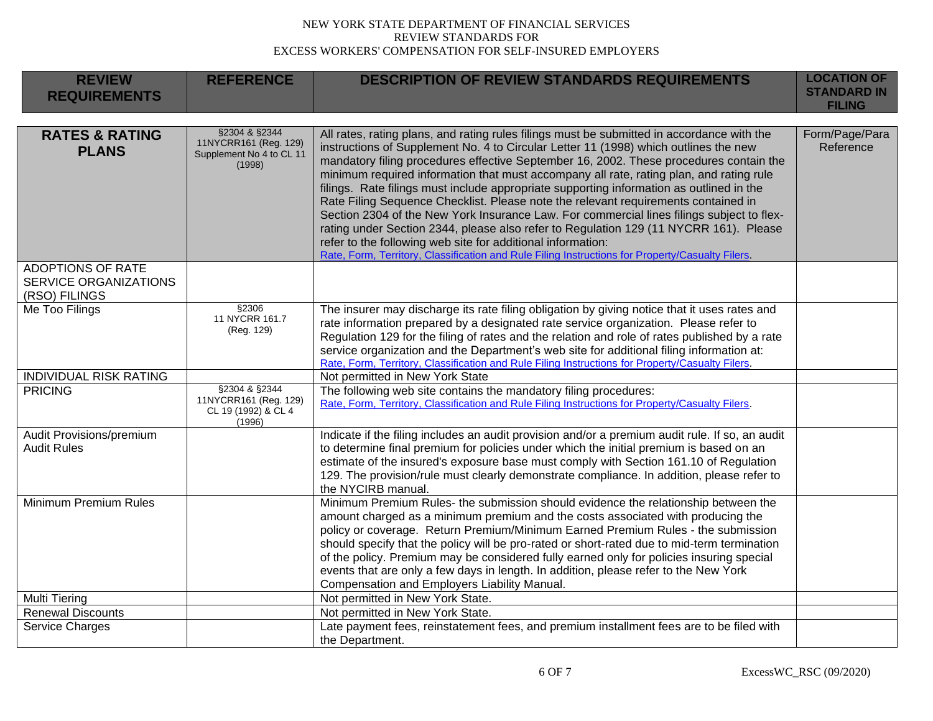| <b>REVIEW</b><br><b>REQUIREMENTS</b>                                      | <b>REFERENCE</b>                                                             | <b>DESCRIPTION OF REVIEW STANDARDS REQUIREMENTS</b>                                                                                                                                                                                                                                                                                                                                                                                                                                                                                                                                                                                                                                                                                                                                                                                                                                                                | <b>LOCATION OF</b><br><b>STANDARD IN</b><br><b>FILING</b> |
|---------------------------------------------------------------------------|------------------------------------------------------------------------------|--------------------------------------------------------------------------------------------------------------------------------------------------------------------------------------------------------------------------------------------------------------------------------------------------------------------------------------------------------------------------------------------------------------------------------------------------------------------------------------------------------------------------------------------------------------------------------------------------------------------------------------------------------------------------------------------------------------------------------------------------------------------------------------------------------------------------------------------------------------------------------------------------------------------|-----------------------------------------------------------|
| <b>RATES &amp; RATING</b><br><b>PLANS</b>                                 | §2304 & §2344<br>11NYCRR161 (Reg. 129)<br>Supplement No 4 to CL 11<br>(1998) | All rates, rating plans, and rating rules filings must be submitted in accordance with the<br>instructions of Supplement No. 4 to Circular Letter 11 (1998) which outlines the new<br>mandatory filing procedures effective September 16, 2002. These procedures contain the<br>minimum required information that must accompany all rate, rating plan, and rating rule<br>filings. Rate filings must include appropriate supporting information as outlined in the<br>Rate Filing Sequence Checklist. Please note the relevant requirements contained in<br>Section 2304 of the New York Insurance Law. For commercial lines filings subject to flex-<br>rating under Section 2344, please also refer to Regulation 129 (11 NYCRR 161). Please<br>refer to the following web site for additional information:<br>Rate, Form, Territory, Classification and Rule Filing Instructions for Property/Casualty Filers. | Form/Page/Para<br>Reference                               |
| <b>ADOPTIONS OF RATE</b><br><b>SERVICE ORGANIZATIONS</b><br>(RSO) FILINGS |                                                                              |                                                                                                                                                                                                                                                                                                                                                                                                                                                                                                                                                                                                                                                                                                                                                                                                                                                                                                                    |                                                           |
| Me Too Filings                                                            | §2306<br>11 NYCRR 161.7<br>(Reg. 129)                                        | The insurer may discharge its rate filing obligation by giving notice that it uses rates and<br>rate information prepared by a designated rate service organization. Please refer to<br>Regulation 129 for the filing of rates and the relation and role of rates published by a rate<br>service organization and the Department's web site for additional filing information at:<br>Rate, Form, Territory, Classification and Rule Filing Instructions for Property/Casualty Filers.                                                                                                                                                                                                                                                                                                                                                                                                                              |                                                           |
| <b>INDIVIDUAL RISK RATING</b>                                             |                                                                              | Not permitted in New York State                                                                                                                                                                                                                                                                                                                                                                                                                                                                                                                                                                                                                                                                                                                                                                                                                                                                                    |                                                           |
| <b>PRICING</b>                                                            | §2304 & §2344<br>11NYCRR161 (Reg. 129)<br>CL 19 (1992) & CL 4<br>(1996)      | The following web site contains the mandatory filing procedures:<br>Rate, Form, Territory, Classification and Rule Filing Instructions for Property/Casualty Filers.                                                                                                                                                                                                                                                                                                                                                                                                                                                                                                                                                                                                                                                                                                                                               |                                                           |
| Audit Provisions/premium<br><b>Audit Rules</b>                            |                                                                              | Indicate if the filing includes an audit provision and/or a premium audit rule. If so, an audit<br>to determine final premium for policies under which the initial premium is based on an<br>estimate of the insured's exposure base must comply with Section 161.10 of Regulation<br>129. The provision/rule must clearly demonstrate compliance. In addition, please refer to<br>the NYCIRB manual.                                                                                                                                                                                                                                                                                                                                                                                                                                                                                                              |                                                           |
| Minimum Premium Rules                                                     |                                                                              | Minimum Premium Rules- the submission should evidence the relationship between the<br>amount charged as a minimum premium and the costs associated with producing the<br>policy or coverage. Return Premium/Minimum Earned Premium Rules - the submission<br>should specify that the policy will be pro-rated or short-rated due to mid-term termination<br>of the policy. Premium may be considered fully earned only for policies insuring special<br>events that are only a few days in length. In addition, please refer to the New York<br>Compensation and Employers Liability Manual.                                                                                                                                                                                                                                                                                                                       |                                                           |
| <b>Multi Tiering</b>                                                      |                                                                              | Not permitted in New York State.                                                                                                                                                                                                                                                                                                                                                                                                                                                                                                                                                                                                                                                                                                                                                                                                                                                                                   |                                                           |
| <b>Renewal Discounts</b>                                                  |                                                                              | Not permitted in New York State.                                                                                                                                                                                                                                                                                                                                                                                                                                                                                                                                                                                                                                                                                                                                                                                                                                                                                   |                                                           |
| Service Charges                                                           |                                                                              | Late payment fees, reinstatement fees, and premium installment fees are to be filed with<br>the Department.                                                                                                                                                                                                                                                                                                                                                                                                                                                                                                                                                                                                                                                                                                                                                                                                        |                                                           |